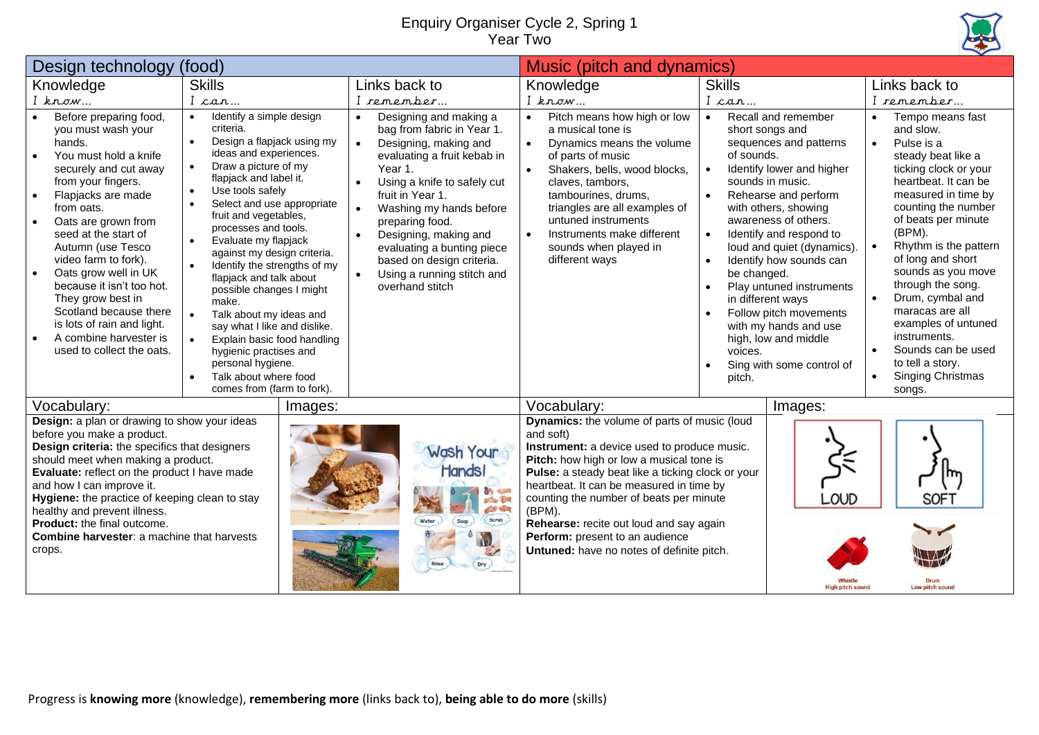## Enquiry Organiser Cycle 2, Spring 1 Year Two



| Design technology<br>(food)                                                                                                                                                                                                                                                                                                                                                                                                                                                                    |                                                                                                                                                                                                                                                                                                                                                                                                                                                                                                                                                                                                                                                                                                                                             |                                                                                                                                                                                                                                                                                                                                                                                                                                | Music (pitch and dynamics)                                                                                                                                                                                                                                                                                                                                                                                                            |                                                                                                                                                                                                                                                                                                                                                                                                                                                                                                                                 |                                                                                                                                                                                                                                                                                                                                                                                                                                                                             |
|------------------------------------------------------------------------------------------------------------------------------------------------------------------------------------------------------------------------------------------------------------------------------------------------------------------------------------------------------------------------------------------------------------------------------------------------------------------------------------------------|---------------------------------------------------------------------------------------------------------------------------------------------------------------------------------------------------------------------------------------------------------------------------------------------------------------------------------------------------------------------------------------------------------------------------------------------------------------------------------------------------------------------------------------------------------------------------------------------------------------------------------------------------------------------------------------------------------------------------------------------|--------------------------------------------------------------------------------------------------------------------------------------------------------------------------------------------------------------------------------------------------------------------------------------------------------------------------------------------------------------------------------------------------------------------------------|---------------------------------------------------------------------------------------------------------------------------------------------------------------------------------------------------------------------------------------------------------------------------------------------------------------------------------------------------------------------------------------------------------------------------------------|---------------------------------------------------------------------------------------------------------------------------------------------------------------------------------------------------------------------------------------------------------------------------------------------------------------------------------------------------------------------------------------------------------------------------------------------------------------------------------------------------------------------------------|-----------------------------------------------------------------------------------------------------------------------------------------------------------------------------------------------------------------------------------------------------------------------------------------------------------------------------------------------------------------------------------------------------------------------------------------------------------------------------|
| Knowledge                                                                                                                                                                                                                                                                                                                                                                                                                                                                                      | <b>Skills</b>                                                                                                                                                                                                                                                                                                                                                                                                                                                                                                                                                                                                                                                                                                                               | Links back to                                                                                                                                                                                                                                                                                                                                                                                                                  | Knowledge                                                                                                                                                                                                                                                                                                                                                                                                                             | <b>Skills</b>                                                                                                                                                                                                                                                                                                                                                                                                                                                                                                                   | Links back to                                                                                                                                                                                                                                                                                                                                                                                                                                                               |
| $I$ know                                                                                                                                                                                                                                                                                                                                                                                                                                                                                       | I can                                                                                                                                                                                                                                                                                                                                                                                                                                                                                                                                                                                                                                                                                                                                       | I remember                                                                                                                                                                                                                                                                                                                                                                                                                     | $I$ know                                                                                                                                                                                                                                                                                                                                                                                                                              | I can                                                                                                                                                                                                                                                                                                                                                                                                                                                                                                                           | I remember                                                                                                                                                                                                                                                                                                                                                                                                                                                                  |
| Before preparing food,<br>you must wash your<br>hands.<br>You must hold a knife<br>securely and cut away<br>from your fingers.<br>Flapjacks are made<br>$\bullet$<br>from oats.<br>Oats are grown from<br>seed at the start of<br>Autumn (use Tesco<br>video farm to fork).<br>Oats grow well in UK<br>$\bullet$<br>because it isn't too hot.<br>They grow best in<br>Scotland because there<br>is lots of rain and light.<br>A combine harvester is<br>$\bullet$<br>used to collect the oats. | Identify a simple design<br>$\bullet$<br>criteria.<br>Design a flapjack using my<br>$\bullet$<br>ideas and experiences.<br>Draw a picture of my<br>$\bullet$<br>flapjack and label it.<br>Use tools safely<br>$\bullet$<br>Select and use appropriate<br>$\bullet$<br>fruit and vegetables,<br>processes and tools.<br>Evaluate my flapjack<br>$\bullet$<br>against my design criteria.<br>Identify the strengths of my<br>$\bullet$<br>flapjack and talk about<br>possible changes I might<br>make.<br>Talk about my ideas and<br>$\bullet$<br>say what I like and dislike.<br>Explain basic food handling<br>$\bullet$<br>hygienic practises and<br>personal hygiene.<br>Talk about where food<br>$\bullet$<br>comes from (farm to fork). | Designing and making a<br>$\bullet$<br>bag from fabric in Year 1.<br>Designing, making and<br>evaluating a fruit kebab in<br>Year 1.<br>Using a knife to safely cut<br>$\bullet$<br>fruit in Year 1.<br>Washing my hands before<br>$\bullet$<br>preparing food.<br>Designing, making and<br>$\bullet$<br>evaluating a bunting piece<br>based on design criteria.<br>Using a running stitch and<br>$\bullet$<br>overhand stitch | Pitch means how high or low<br>$\bullet$<br>a musical tone is<br>Dynamics means the volume<br>of parts of music<br>Shakers, bells, wood blocks,<br>claves, tambors,<br>tambourines, drums.<br>triangles are all examples of<br>untuned instruments<br>Instruments make different<br>sounds when played in<br>different ways                                                                                                           | Recall and remember<br>$\bullet$<br>short songs and<br>sequences and patterns<br>of sounds.<br>Identify lower and higher<br>sounds in music.<br>Rehearse and perform<br>with others, showing<br>awareness of others.<br>Identify and respond to<br>$\bullet$<br>loud and quiet (dynamics).<br>Identify how sounds can<br>$\bullet$<br>be changed.<br>Play untuned instruments<br>in different ways<br>Follow pitch movements<br>with my hands and use<br>high, low and middle<br>voices.<br>Sing with some control of<br>pitch. | Tempo means fast<br>and slow.<br>Pulse is a<br>$\bullet$<br>steady beat like a<br>ticking clock or your<br>heartbeat. It can be<br>measured in time by<br>counting the number<br>of beats per minute<br>(BPM).<br>Rhythm is the pattern<br>of long and short<br>sounds as you move<br>through the song.<br>Drum, cymbal and<br>maracas are all<br>examples of untuned<br>instruments.<br>Sounds can be used<br>to tell a story.<br>Singing Christmas<br>$\bullet$<br>songs. |
| Vocabulary:                                                                                                                                                                                                                                                                                                                                                                                                                                                                                    | Images:                                                                                                                                                                                                                                                                                                                                                                                                                                                                                                                                                                                                                                                                                                                                     |                                                                                                                                                                                                                                                                                                                                                                                                                                | Vocabulary:                                                                                                                                                                                                                                                                                                                                                                                                                           | Images:                                                                                                                                                                                                                                                                                                                                                                                                                                                                                                                         |                                                                                                                                                                                                                                                                                                                                                                                                                                                                             |
| Design: a plan or drawing to show your ideas<br>before you make a product.<br>Design criteria: the specifics that designers<br>should meet when making a product.<br>Evaluate: reflect on the product I have made<br>and how I can improve it.<br>Hygiene: the practice of keeping clean to stay<br>healthy and prevent illness.<br><b>Product:</b> the final outcome.<br><b>Combine harvester: a machine that harvests</b><br>crops.                                                          |                                                                                                                                                                                                                                                                                                                                                                                                                                                                                                                                                                                                                                                                                                                                             | Wash Your<br>Hands!<br>police 104<br>在城市<br>Scrub<br>Water<br>Dry                                                                                                                                                                                                                                                                                                                                                              | Dynamics: the volume of parts of music (loud<br>and soft)<br>Instrument: a device used to produce music.<br>Pitch: how high or low a musical tone is<br>Pulse: a steady beat like a ticking clock or your<br>heartbeat. It can be measured in time by<br>counting the number of beats per minute<br>(BPM).<br>Rehearse: recite out loud and say again<br>Perform: present to an audience<br>Untuned: have no notes of definite pitch. | -OUD<br>ligh nitch soun                                                                                                                                                                                                                                                                                                                                                                                                                                                                                                         | SOF <sup>.</sup><br>Low pitch sound                                                                                                                                                                                                                                                                                                                                                                                                                                         |